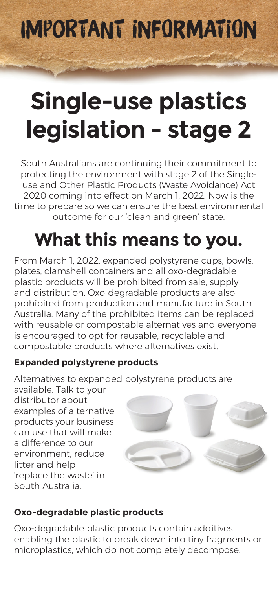Important Information

# **Single-use plastics legislation - stage 2**

South Australians are continuing their commitment to protecting the environment with stage 2 of the Singleuse and Other Plastic Products (Waste Avoidance) Act 2020 coming into effect on March 1, 2022. Now is the time to prepare so we can ensure the best environmental outcome for our 'clean and green' state.

## **What this means to you.**

From March 1, 2022, expanded polystyrene cups, bowls, plates, clamshell containers and all oxo-degradable plastic products will be prohibited from sale, supply and distribution. Oxo-degradable products are also prohibited from production and manufacture in South Australia. Many of the prohibited items can be replaced with reusable or compostable alternatives and everyone is encouraged to opt for reusable, recyclable and compostable products where alternatives exist.

#### **Expanded polystyrene products**

Alternatives to expanded polystyrene products are

available. Talk to your distributor about examples of alternative products your business can use that will make a difference to our environment, reduce litter and help 'replace the waste' in South Australia.



#### **Oxo-degradable plastic products**

Oxo-degradable plastic products contain additives enabling the plastic to break down into tiny fragments or microplastics, which do not completely decompose.